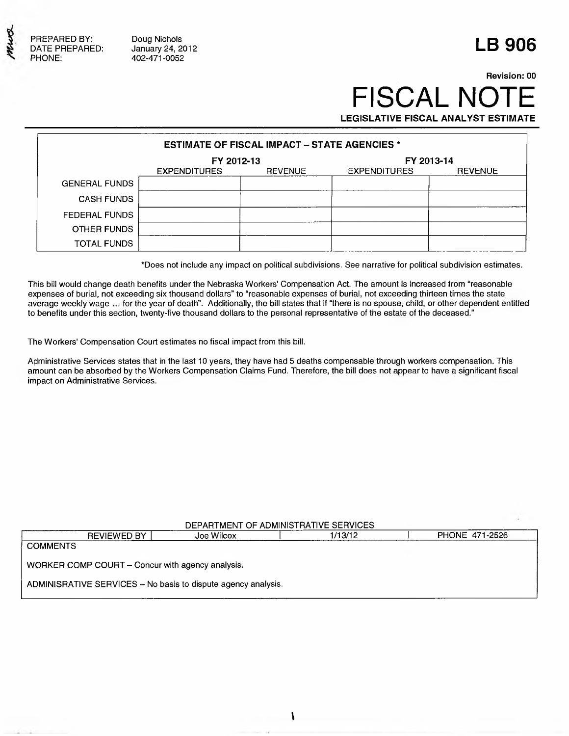

Doug Nichols January 24, 2012 402-471 -0052

# **LB 906**

### **Revision: 00 FISCAL NOT LEGISLATIVE FISCAL ANALYST ESTIMATE**

| <b>ESTIMATE OF FISCAL IMPACT - STATE AGENCIES *</b> |                     |                |                     |                |  |  |  |
|-----------------------------------------------------|---------------------|----------------|---------------------|----------------|--|--|--|
| FY 2012-13<br>FY 2013-14                            |                     |                |                     |                |  |  |  |
|                                                     | <b>EXPENDITURES</b> | <b>REVENUE</b> | <b>EXPENDITURES</b> | <b>REVENUE</b> |  |  |  |
| <b>GENERAL FUNDS</b>                                |                     |                |                     |                |  |  |  |
| <b>CASH FUNDS</b>                                   |                     |                |                     |                |  |  |  |
| <b>FEDERAL FUNDS</b>                                |                     |                |                     |                |  |  |  |
| OTHER FUNDS                                         |                     |                |                     |                |  |  |  |
| <b>TOTAL FUNDS</b>                                  |                     |                |                     |                |  |  |  |

'Does not include any impact on political subdivisions. See narrative for political subdivision estimates.

This bill would change death benefits under the Nebraska Workers' Compensation Act. The amount is increased from "reasonable expenses of burial, not exceeding six thousand dollars" to "reasonable expenses of burial, not exceeding thirteen times the state average weekly wage ... for the year of death". Additionally, the bill states that if "there is no spouse, child, or other dependent entitled to benefits under this section, twenty-five thousand dollars to the personal representative of the estate of the deceased."

The Workers' Compensation Court estimates no fiscal impact from this bill.

Administrative Services states that in the last 10 years, they have had 5 deaths compensable through workers compensation. This amount can be absorbed by the Workers Compensation Claims Fund. Therefore, the bill does not appear to have a significant fiscal impact on Administrative Services.

### DEPARTMENT OF ADMINISTRATIVE SERVICES

| <b>REVIEWED BY</b>                                            | Joe Wilcox | 1/13/12 | PHONE 471-2526 |
|---------------------------------------------------------------|------------|---------|----------------|
| <b>COMMENTS</b>                                               |            |         |                |
|                                                               |            |         |                |
| WORKER COMP COURT – Concur with agency analysis.              |            |         |                |
|                                                               |            |         |                |
| ADMINISRATIVE SERVICES - No basis to dispute agency analysis. |            |         |                |
|                                                               |            |         |                |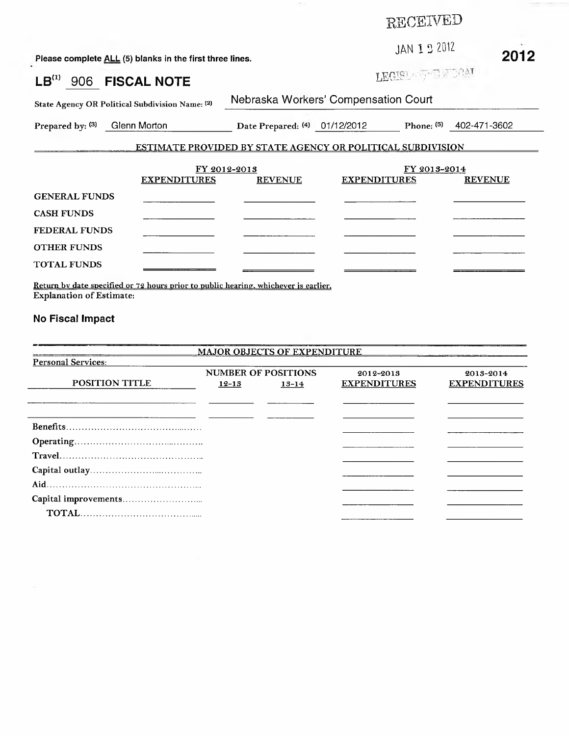| RECEIVED |  |
|----------|--|
|----------|--|

|                                 |  | Please complete ALL (5) blanks in the first three lines. |                                                                                     |                     | JAN 1 2 2012<br><b>TEGIST WALE ALONE</b> | 2012           |
|---------------------------------|--|----------------------------------------------------------|-------------------------------------------------------------------------------------|---------------------|------------------------------------------|----------------|
| $LB^{(1)}$                      |  | 906 FISCAL NOTE                                          |                                                                                     |                     |                                          |                |
|                                 |  | State Agency OR Political Subdivision Name: (2)          | Nebraska Workers' Compensation Court                                                |                     |                                          |                |
| Prepared by: (3) Glenn Morton   |  |                                                          | Date Prepared: (4) 01/12/2012                                                       |                     | Phone: (5)                               | 402-471-3602   |
|                                 |  |                                                          | ESTIMATE PROVIDED BY STATE AGENCY OR POLITICAL SUBDIVISION                          |                     |                                          |                |
|                                 |  | <b>EXPENDITURES</b>                                      | FY 2012-2013<br><b>REVENUE</b>                                                      | <b>EXPENDITURES</b> | FY 2013-2014                             | <b>REVENUE</b> |
| <b>GENERAL FUNDS</b>            |  |                                                          |                                                                                     |                     |                                          |                |
| <b>CASH FUNDS</b>               |  |                                                          |                                                                                     |                     |                                          |                |
| <b>FEDERAL FUNDS</b>            |  |                                                          |                                                                                     |                     |                                          |                |
| <b>OTHER FUNDS</b>              |  |                                                          |                                                                                     |                     |                                          |                |
| <b>TOTAL FUNDS</b>              |  |                                                          |                                                                                     |                     |                                          |                |
| <b>Explanation of Estimate:</b> |  |                                                          | Return by date specified or 72 hours prior to public hearing, whichever is earlier. |                     |                                          |                |
| <b>No Fiscal Impact</b>         |  |                                                          |                                                                                     |                     |                                          |                |

 $\mathcal{P}^{\mathcal{C}}$ 

| <b>MAJOR OBJECTS OF EXPENDITURE</b> |           |                            |                     |                     |  |
|-------------------------------------|-----------|----------------------------|---------------------|---------------------|--|
| <b>Personal Services:</b>           |           |                            |                     |                     |  |
|                                     |           | <b>NUMBER OF POSITIONS</b> | 2012-2013           | 2013-2014           |  |
| <b>POSITION TITLE</b>               | $12 - 13$ | $13 - 14$                  | <b>EXPENDITURES</b> | <b>EXPENDITURES</b> |  |
|                                     |           |                            |                     |                     |  |
|                                     |           |                            |                     |                     |  |
|                                     |           |                            |                     |                     |  |
|                                     |           |                            |                     |                     |  |
|                                     |           |                            |                     |                     |  |
|                                     |           |                            |                     |                     |  |
|                                     |           |                            |                     |                     |  |
|                                     |           |                            |                     |                     |  |
|                                     |           |                            |                     |                     |  |